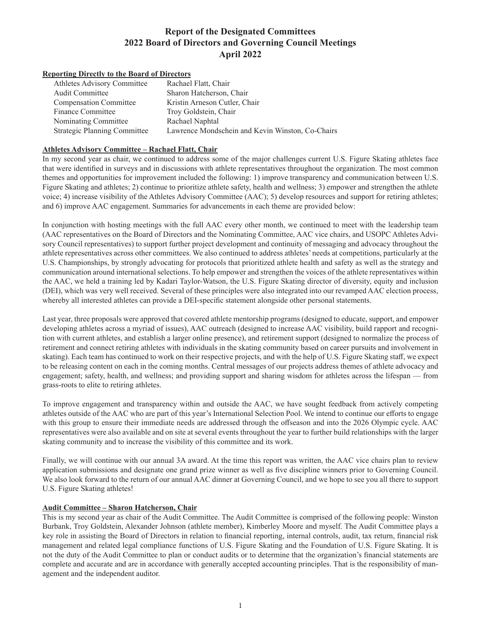# **Report of the Designated Committees 2022 Board of Directors and Governing Council Meetings April 2022**

#### **Reporting Directly to the Board of Directors**

| Athletes Advisory Committee         | Rachael Flatt, Chair                             |
|-------------------------------------|--------------------------------------------------|
| <b>Audit Committee</b>              | Sharon Hatcherson, Chair                         |
| <b>Compensation Committee</b>       | Kristin Arneson Cutler, Chair                    |
| Finance Committee                   | Troy Goldstein, Chair                            |
| Nominating Committee                | Rachael Naphtal                                  |
| <b>Strategic Planning Committee</b> | Lawrence Mondschein and Kevin Winston, Co-Chairs |

### **Athletes Advisory Committee – Rachael Flatt, Chair**

In my second year as chair, we continued to address some of the major challenges current U.S. Figure Skating athletes face that were identified in surveys and in discussions with athlete representatives throughout the organization. The most common themes and opportunities for improvement included the following: 1) improve transparency and communication between U.S. Figure Skating and athletes; 2) continue to prioritize athlete safety, health and wellness; 3) empower and strengthen the athlete voice; 4) increase visibility of the Athletes Advisory Committee (AAC); 5) develop resources and support for retiring athletes; and 6) improve AAC engagement. Summaries for advancements in each theme are provided below:

In conjunction with hosting meetings with the full AAC every other month, we continued to meet with the leadership team (AAC representatives on the Board of Directors and the Nominating Committee, AAC vice chairs, and USOPC Athletes Advisory Council representatives) to support further project development and continuity of messaging and advocacy throughout the athlete representatives across other committees. We also continued to address athletes' needs at competitions, particularly at the U.S. Championships, by strongly advocating for protocols that prioritized athlete health and safety as well as the strategy and communication around international selections. To help empower and strengthen the voices of the athlete representatives within the AAC, we held a training led by Kadari Taylor-Watson, the U.S. Figure Skating director of diversity, equity and inclusion (DEI), which was very well received. Several of these principles were also integrated into our revamped AAC election process, whereby all interested athletes can provide a DEI-specific statement alongside other personal statements.

Last year, three proposals were approved that covered athlete mentorship programs (designed to educate, support, and empower developing athletes across a myriad of issues), AAC outreach (designed to increase AAC visibility, build rapport and recognition with current athletes, and establish a larger online presence), and retirement support (designed to normalize the process of retirement and connect retiring athletes with individuals in the skating community based on career pursuits and involvement in skating). Each team has continued to work on their respective projects, and with the help of U.S. Figure Skating staff, we expect to be releasing content on each in the coming months. Central messages of our projects address themes of athlete advocacy and engagement; safety, health, and wellness; and providing support and sharing wisdom for athletes across the lifespan — from grass-roots to elite to retiring athletes.

To improve engagement and transparency within and outside the AAC, we have sought feedback from actively competing athletes outside of the AAC who are part of this year's International Selection Pool. We intend to continue our efforts to engage with this group to ensure their immediate needs are addressed through the offseason and into the 2026 Olympic cycle. AAC representatives were also available and on site at several events throughout the year to further build relationships with the larger skating community and to increase the visibility of this committee and its work.

Finally, we will continue with our annual 3A award. At the time this report was written, the AAC vice chairs plan to review application submissions and designate one grand prize winner as well as five discipline winners prior to Governing Council. We also look forward to the return of our annual AAC dinner at Governing Council, and we hope to see you all there to support U.S. Figure Skating athletes!

#### **Audit Committee – Sharon Hatcherson, Chair**

This is my second year as chair of the Audit Committee. The Audit Committee is comprised of the following people: Winston Burbank, Troy Goldstein, Alexander Johnson (athlete member), Kimberley Moore and myself. The Audit Committee plays a key role in assisting the Board of Directors in relation to financial reporting, internal controls, audit, tax return, financial risk management and related legal compliance functions of U.S. Figure Skating and the Foundation of U.S. Figure Skating. It is not the duty of the Audit Committee to plan or conduct audits or to determine that the organization's financial statements are complete and accurate and are in accordance with generally accepted accounting principles. That is the responsibility of management and the independent auditor.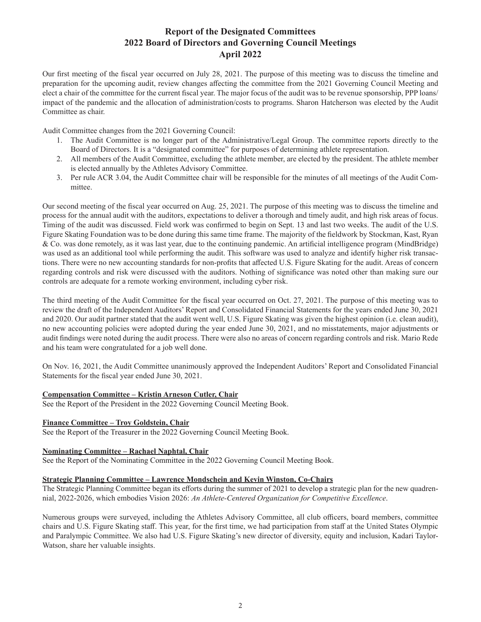## **Report of the Designated Committees 2022 Board of Directors and Governing Council Meetings April 2022**

Our first meeting of the fiscal year occurred on July 28, 2021. The purpose of this meeting was to discuss the timeline and preparation for the upcoming audit, review changes affecting the committee from the 2021 Governing Council Meeting and elect a chair of the committee for the current fiscal year. The major focus of the audit was to be revenue sponsorship, PPP loans/ impact of the pandemic and the allocation of administration/costs to programs. Sharon Hatcherson was elected by the Audit Committee as chair.

Audit Committee changes from the 2021 Governing Council:

- 1. The Audit Committee is no longer part of the Administrative/Legal Group. The committee reports directly to the Board of Directors. It is a "designated committee" for purposes of determining athlete representation.
- 2. All members of the Audit Committee, excluding the athlete member, are elected by the president. The athlete member is elected annually by the Athletes Advisory Committee.
- 3. Per rule ACR 3.04, the Audit Committee chair will be responsible for the minutes of all meetings of the Audit Committee.

Our second meeting of the fiscal year occurred on Aug. 25, 2021. The purpose of this meeting was to discuss the timeline and process for the annual audit with the auditors, expectations to deliver a thorough and timely audit, and high risk areas of focus. Timing of the audit was discussed. Field work was confirmed to begin on Sept. 13 and last two weeks. The audit of the U.S. Figure Skating Foundation was to be done during this same time frame. The majority of the fieldwork by Stockman, Kast, Ryan & Co. was done remotely, as it was last year, due to the continuing pandemic. An artificial intelligence program (MindBridge) was used as an additional tool while performing the audit. This software was used to analyze and identify higher risk transactions. There were no new accounting standards for non-profits that affected U.S. Figure Skating for the audit. Areas of concern regarding controls and risk were discussed with the auditors. Nothing of significance was noted other than making sure our controls are adequate for a remote working environment, including cyber risk.

The third meeting of the Audit Committee for the fiscal year occurred on Oct. 27, 2021. The purpose of this meeting was to review the draft of the Independent Auditors' Report and Consolidated Financial Statements for the years ended June 30, 2021 and 2020. Our audit partner stated that the audit went well, U.S. Figure Skating was given the highest opinion (i.e. clean audit), no new accounting policies were adopted during the year ended June 30, 2021, and no misstatements, major adjustments or audit findings were noted during the audit process. There were also no areas of concern regarding controls and risk. Mario Rede and his team were congratulated for a job well done.

On Nov. 16, 2021, the Audit Committee unanimously approved the Independent Auditors' Report and Consolidated Financial Statements for the fiscal year ended June 30, 2021.

#### **Compensation Committee – Kristin Arneson Cutler, Chair**

See the Report of the President in the 2022 Governing Council Meeting Book.

#### **Finance Committee – Troy Goldstein, Chair**

See the Report of the Treasurer in the 2022 Governing Council Meeting Book.

#### **Nominating Committee – Rachael Naphtal, Chair**

See the Report of the Nominating Committee in the 2022 Governing Council Meeting Book.

#### **Strategic Planning Committee – Lawrence Mondschein and Kevin Winston, Co-Chairs**

The Strategic Planning Committee began its efforts during the summer of 2021 to develop a strategic plan for the new quadrennial, 2022-2026, which embodies Vision 2026: *An Athlete-Centered Organization for Competitive Excellence*.

Numerous groups were surveyed, including the Athletes Advisory Committee, all club officers, board members, committee chairs and U.S. Figure Skating staff. This year, for the first time, we had participation from staff at the United States Olympic and Paralympic Committee. We also had U.S. Figure Skating's new director of diversity, equity and inclusion, Kadari Taylor-Watson, share her valuable insights.